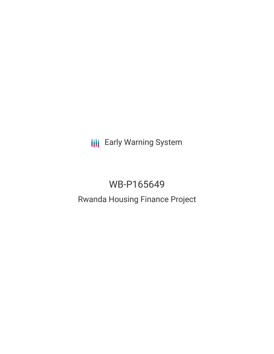**III** Early Warning System

# WB-P165649

## Rwanda Housing Finance Project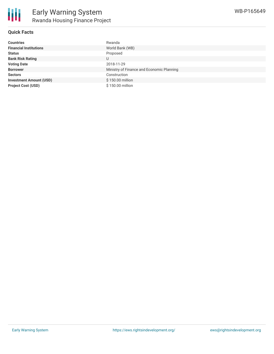

| <b>Countries</b>               | Rwanda                                    |
|--------------------------------|-------------------------------------------|
| <b>Financial Institutions</b>  | World Bank (WB)                           |
| <b>Status</b>                  | Proposed                                  |
| <b>Bank Risk Rating</b>        | U                                         |
| <b>Voting Date</b>             | 2018-11-29                                |
| <b>Borrower</b>                | Ministry of Finance and Economic Planning |
| <b>Sectors</b>                 | Construction                              |
| <b>Investment Amount (USD)</b> | \$150.00 million                          |
| <b>Project Cost (USD)</b>      | \$150.00 million                          |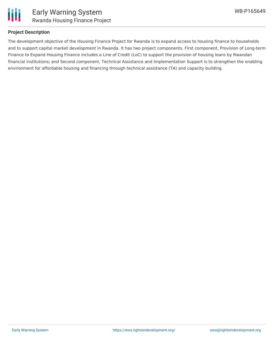

#### **Project Description**

The development objective of the Housing Finance Project for Rwanda is to expand access to housing finance to households and to support capital market development in Rwanda. It has two project components. First component, Provision of Long-term Finance to Expand Housing Finance includes a Line of Credit (LoC) to support the provision of housing loans by Rwandan financial institutions; and Second component, Technical Assistance and Implementation Support is to strengthen the enabling environment for affordable housing and financing through technical assistance (TA) and capacity building.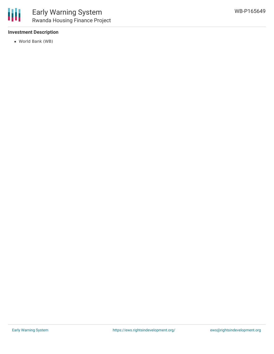

#### **Investment Description**

World Bank (WB)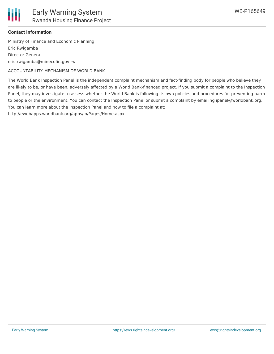

#### **Contact Information**

Ministry of Finance and Economic Planning Eric Rwigamba Director General eric.rwigamba@minecofin.gov.rw

ACCOUNTABILITY MECHANISM OF WORLD BANK

The World Bank Inspection Panel is the independent complaint mechanism and fact-finding body for people who believe they are likely to be, or have been, adversely affected by a World Bank-financed project. If you submit a complaint to the Inspection Panel, they may investigate to assess whether the World Bank is following its own policies and procedures for preventing harm to people or the environment. You can contact the Inspection Panel or submit a complaint by emailing ipanel@worldbank.org. You can learn more about the Inspection Panel and how to file a complaint at:

http://ewebapps.worldbank.org/apps/ip/Pages/Home.aspx.